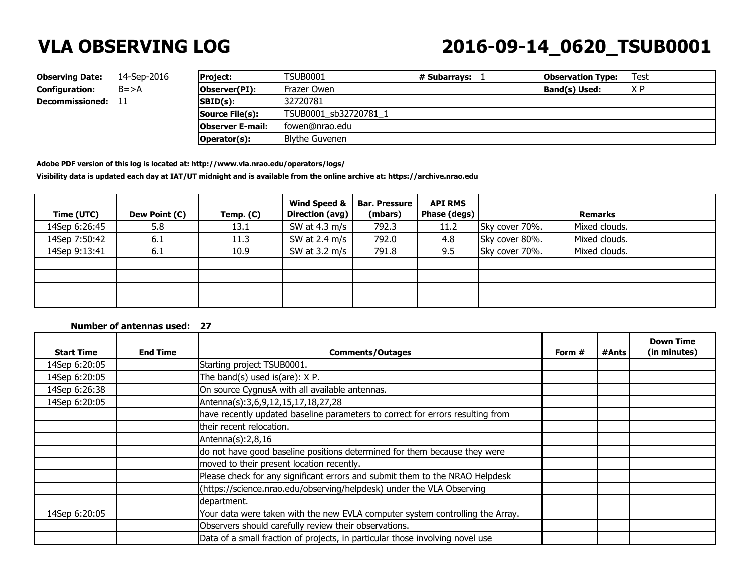## **VLA OBSERVING LOG 2016-09-14\_0620\_TSUB0001**

| <b>Observing Date:</b> | 14-Sep-2016 | <b>Project:</b>         | <b>TSUB0001</b>       | # Subarravs: | <b>Observation Type:</b> | Test |
|------------------------|-------------|-------------------------|-----------------------|--------------|--------------------------|------|
| <b>Configuration:</b>  | $B = > A$   | <b>Observer(PI):</b>    | Frazer Owen           |              | Band(s) Used:            | ΧP   |
| <b>Decommissioned:</b> |             | $ SBD(s) $ :            | 32720781              |              |                          |      |
|                        |             | Source File(s):         | TSUB0001 sb32720781 1 |              |                          |      |
|                        |             | <b>Observer E-mail:</b> | fowen@nrao.edu        |              |                          |      |
|                        |             | Operator(s):            | Blythe Guvenen        |              |                          |      |

**Adobe PDF version of this log is located at: http://www.vla.nrao.edu/operators/logs/** 

**Visibility data is updated each day at IAT/UT midnight and is available from the online archive at: https://archive.nrao.edu**

| Time (UTC)    | Dew Point (C) | Temp. (C) | Wind Speed &<br><b>Direction (avg)</b> | <b>Bar. Pressure</b><br>(mbars) | <b>API RMS</b><br>Phase (degs) |                | <b>Remarks</b> |
|---------------|---------------|-----------|----------------------------------------|---------------------------------|--------------------------------|----------------|----------------|
| 14Sep 6:26:45 | 5.8           | 13.1      | SW at 4.3 m/s                          | 792.3                           | 11.2                           | Sky cover 70%. | Mixed clouds.  |
| 14Sep 7:50:42 | 6.1           | 11.3      | SW at $2.4 \text{ m/s}$                | 792.0                           | 4.8                            | Sky cover 80%. | Mixed clouds.  |
| 14Sep 9:13:41 | 6.1           | 10.9      | SW at 3.2 m/s                          | 791.8                           | 9.5                            | Sky cover 70%. | Mixed clouds.  |
|               |               |           |                                        |                                 |                                |                |                |
|               |               |           |                                        |                                 |                                |                |                |
|               |               |           |                                        |                                 |                                |                |                |
|               |               |           |                                        |                                 |                                |                |                |

### **Number of antennas used: 27**

| <b>Start Time</b> | <b>End Time</b> | <b>Comments/Outages</b>                                                        | Form $#$ | #Ants | <b>Down Time</b><br>(in minutes) |
|-------------------|-----------------|--------------------------------------------------------------------------------|----------|-------|----------------------------------|
| 14Sep 6:20:05     |                 | Starting project TSUB0001.                                                     |          |       |                                  |
| 14Sep 6:20:05     |                 | The band(s) used is(are): X P.                                                 |          |       |                                  |
| 14Sep 6:26:38     |                 | On source CygnusA with all available antennas.                                 |          |       |                                  |
| 14Sep 6:20:05     |                 | Antenna(s):3,6,9,12,15,17,18,27,28                                             |          |       |                                  |
|                   |                 | have recently updated baseline parameters to correct for errors resulting from |          |       |                                  |
|                   |                 | their recent relocation.                                                       |          |       |                                  |
|                   |                 | Antenna $(s)$ : 2,8,16                                                         |          |       |                                  |
|                   |                 | do not have good baseline positions determined for them because they were      |          |       |                                  |
|                   |                 | moved to their present location recently.                                      |          |       |                                  |
|                   |                 | Please check for any significant errors and submit them to the NRAO Helpdesk   |          |       |                                  |
|                   |                 | (https://science.nrao.edu/observing/helpdesk) under the VLA Observing          |          |       |                                  |
|                   |                 | department.                                                                    |          |       |                                  |
| 14Sep 6:20:05     |                 | Your data were taken with the new EVLA computer system controlling the Array.  |          |       |                                  |
|                   |                 | Observers should carefully review their observations.                          |          |       |                                  |
|                   |                 | Data of a small fraction of projects, in particular those involving novel use  |          |       |                                  |